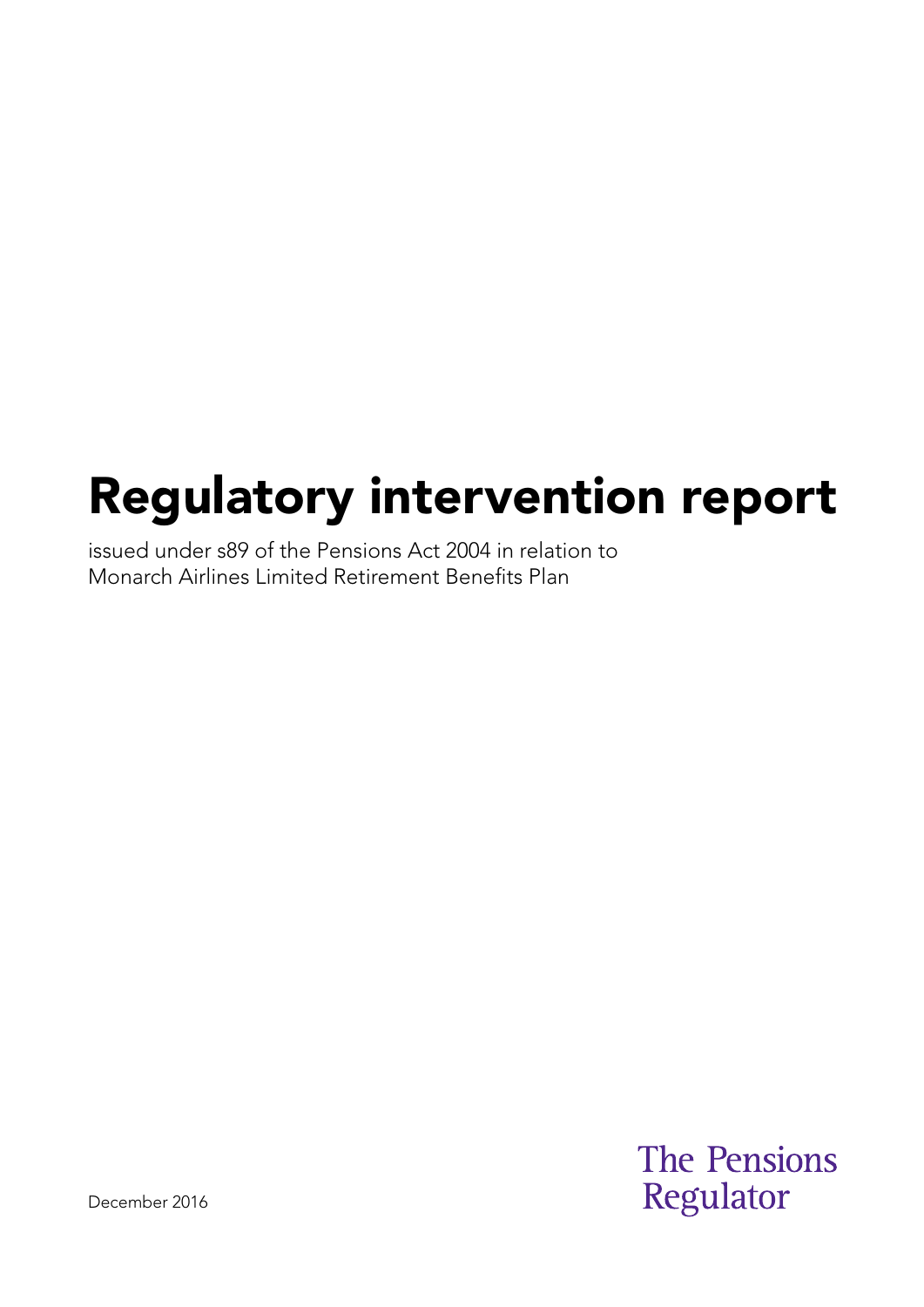# Regulatory intervention report

issued under s89 of the Pensions Act 2004 in relation to Monarch Airlines Limited Retirement Benefits Plan

> **The Pensions** Regulator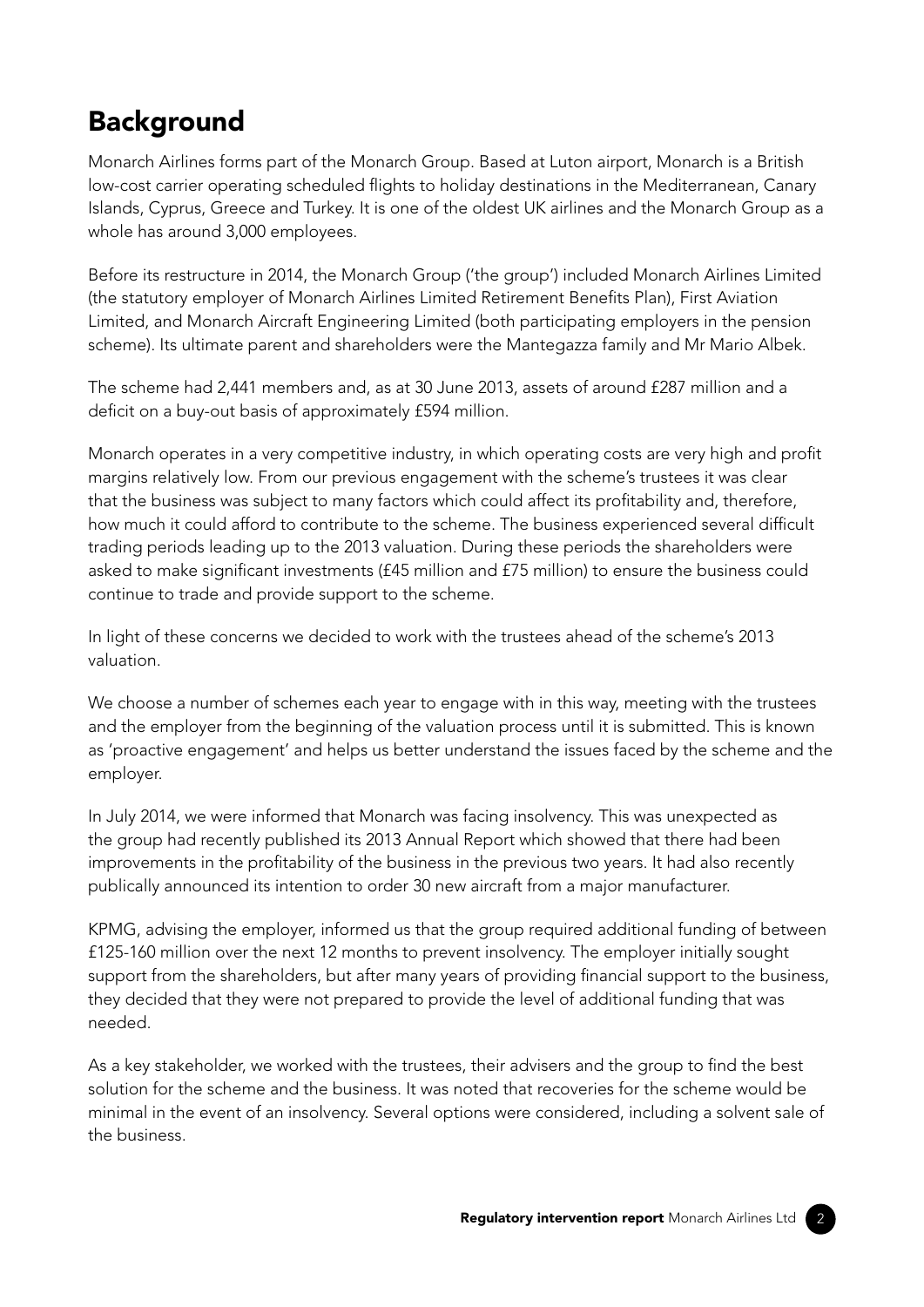## Background

Monarch Airlines forms part of the Monarch Group. Based at Luton airport, Monarch is a British low-cost carrier operating scheduled flights to holiday destinations in the Mediterranean, Canary Islands, Cyprus, Greece and Turkey. It is one of the oldest UK airlines and the Monarch Group as a whole has around 3,000 employees.

Before its restructure in 2014, the Monarch Group ('the group') included Monarch Airlines Limited (the statutory employer of Monarch Airlines Limited Retirement Benefits Plan), First Aviation Limited, and Monarch Aircraft Engineering Limited (both participating employers in the pension scheme). Its ultimate parent and shareholders were the Mantegazza family and Mr Mario Albek.

The scheme had 2,441 members and, as at 30 June 2013, assets of around £287 million and a deficit on a buy-out basis of approximately £594 million.

Monarch operates in a very competitive industry, in which operating costs are very high and profit margins relatively low. From our previous engagement with the scheme's trustees it was clear that the business was subject to many factors which could affect its profitability and, therefore, how much it could afford to contribute to the scheme. The business experienced several difficult trading periods leading up to the 2013 valuation. During these periods the shareholders were asked to make significant investments (£45 million and £75 million) to ensure the business could continue to trade and provide support to the scheme.

In light of these concerns we decided to work with the trustees ahead of the scheme's 2013 valuation.

We choose a number of schemes each year to engage with in this way, meeting with the trustees and the employer from the beginning of the valuation process until it is submitted. This is known as 'proactive engagement' and helps us better understand the issues faced by the scheme and the employer.

In July 2014, we were informed that Monarch was facing insolvency. This was unexpected as the group had recently published its 2013 Annual Report which showed that there had been improvements in the profitability of the business in the previous two years. It had also recently publically announced its intention to order 30 new aircraft from a major manufacturer.

KPMG, advising the employer, informed us that the group required additional funding of between £125-160 million over the next 12 months to prevent insolvency. The employer initially sought support from the shareholders, but after many years of providing financial support to the business, they decided that they were not prepared to provide the level of additional funding that was needed.

As a key stakeholder, we worked with the trustees, their advisers and the group to find the best solution for the scheme and the business. It was noted that recoveries for the scheme would be minimal in the event of an insolvency. Several options were considered, including a solvent sale of the business.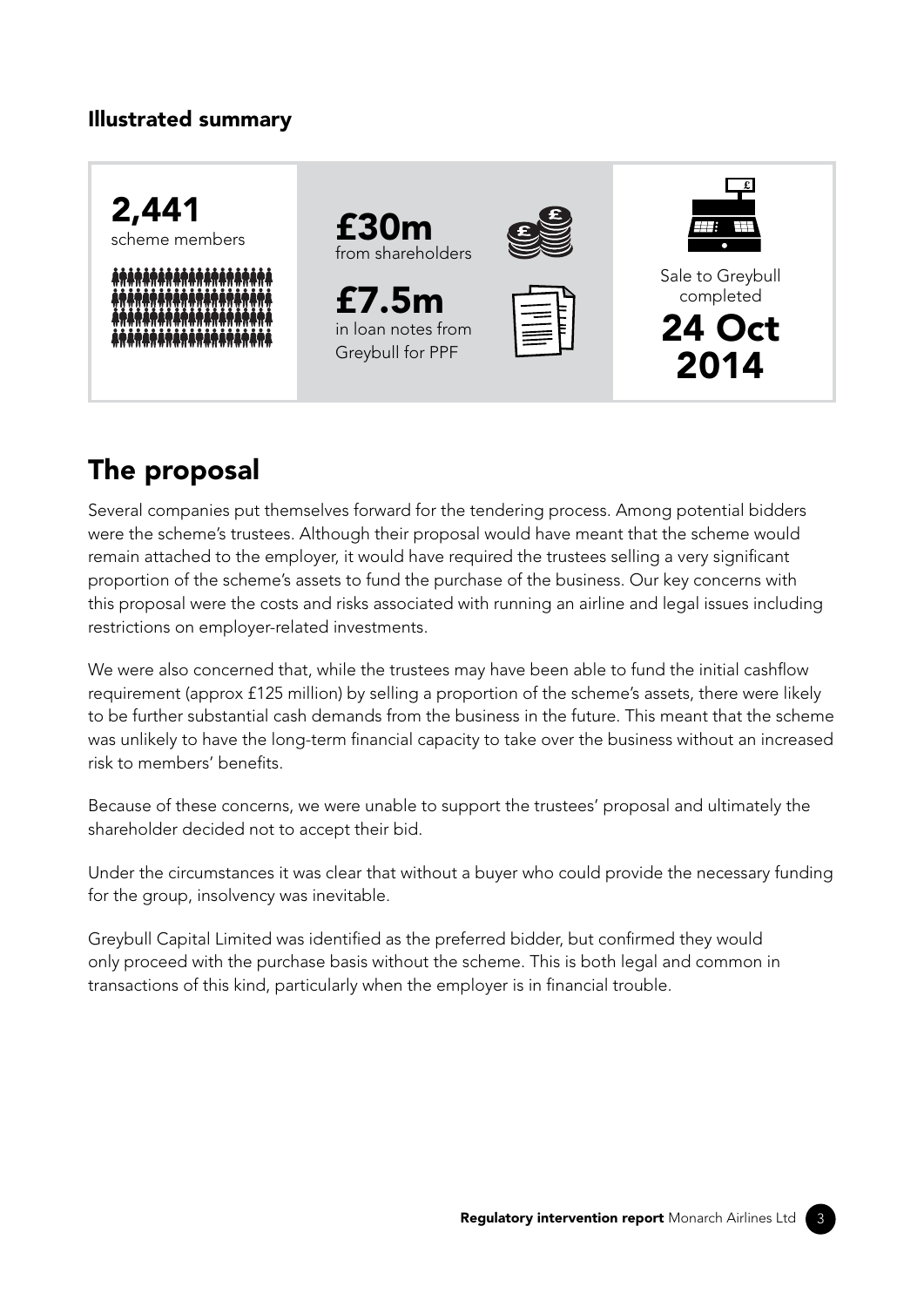## Illustrated summary



# The proposal

Several companies put themselves forward for the tendering process. Among potential bidders were the scheme's trustees. Although their proposal would have meant that the scheme would remain attached to the employer, it would have required the trustees selling a very significant proportion of the scheme's assets to fund the purchase of the business. Our key concerns with this proposal were the costs and risks associated with running an airline and legal issues including restrictions on employer-related investments.

We were also concerned that, while the trustees may have been able to fund the initial cashflow requirement (approx £125 million) by selling a proportion of the scheme's assets, there were likely to be further substantial cash demands from the business in the future. This meant that the scheme was unlikely to have the long-term financial capacity to take over the business without an increased risk to members' benefits.

Because of these concerns, we were unable to support the trustees' proposal and ultimately the shareholder decided not to accept their bid.

Under the circumstances it was clear that without a buyer who could provide the necessary funding for the group, insolvency was inevitable.

Greybull Capital Limited was identified as the preferred bidder, but confirmed they would only proceed with the purchase basis without the scheme. This is both legal and common in transactions of this kind, particularly when the employer is in financial trouble.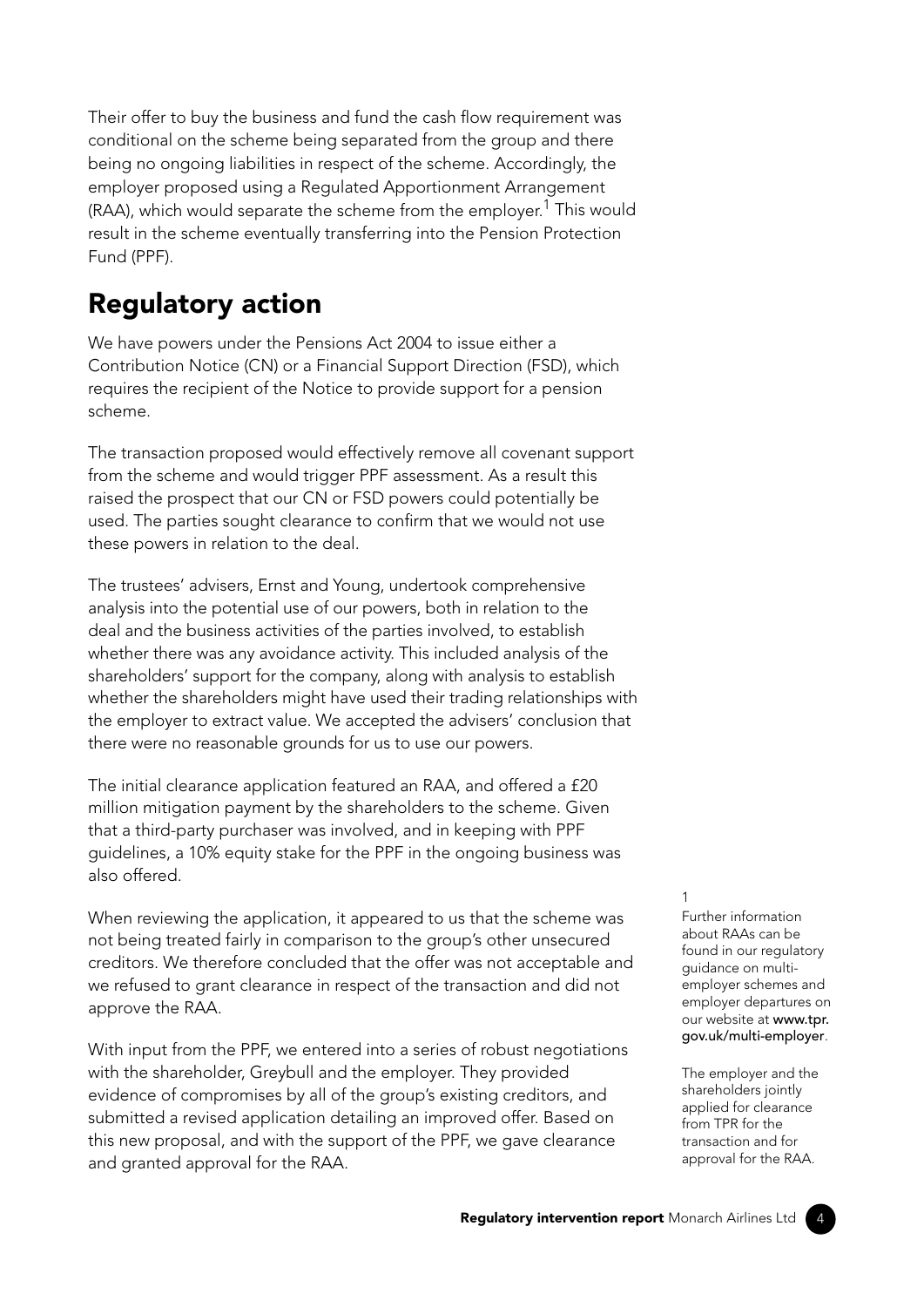Their offer to buy the business and fund the cash flow requirement was conditional on the scheme being separated from the group and there being no ongoing liabilities in respect of the scheme. Accordingly, the employer proposed using a Regulated Apportionment Arrangement  $(RAA)$ , which would separate the scheme from the employer.<sup>1</sup> This would result in the scheme eventually transferring into the Pension Protection Fund (PPF).

## Regulatory action

We have powers under the Pensions Act 2004 to issue either a Contribution Notice (CN) or a Financial Support Direction (FSD), which requires the recipient of the Notice to provide support for a pension scheme.

The transaction proposed would effectively remove all covenant support from the scheme and would trigger PPF assessment. As a result this raised the prospect that our CN or FSD powers could potentially be used. The parties sought clearance to confirm that we would not use these powers in relation to the deal.

The trustees' advisers, Ernst and Young, undertook comprehensive analysis into the potential use of our powers, both in relation to the deal and the business activities of the parties involved, to establish whether there was any avoidance activity. This included analysis of the shareholders' support for the company, along with analysis to establish whether the shareholders might have used their trading relationships with the employer to extract value. We accepted the advisers' conclusion that there were no reasonable grounds for us to use our powers.

The initial clearance application featured an RAA, and offered a £20 million mitigation payment by the shareholders to the scheme. Given that a third-party purchaser was involved, and in keeping with PPF guidelines, a 10% equity stake for the PPF in the ongoing business was also offered.

When reviewing the application, it appeared to us that the scheme was not being treated fairly in comparison to the group's other unsecured creditors. We therefore concluded that the offer was not acceptable and we refused to grant clearance in respect of the transaction and did not approve the RAA.

With input from the PPF, we entered into a series of robust negotiations with the shareholder, Greybull and the employer. They provided evidence of compromises by all of the group's existing creditors, and submitted a revised application detailing an improved offer. Based on this new proposal, and with the support of the PPF, we gave clearance and granted approval for the RAA.

#### 1

Further information about RAAs can be found in our regulatory guidance on multiemployer schemes and employer departures on our website at www.tpr. [gov.uk/multi-employer](http://www.tpr.gov.uk/multi-employer).

The employer and the shareholders jointly applied for clearance from TPR for the transaction and for approval for the RAA.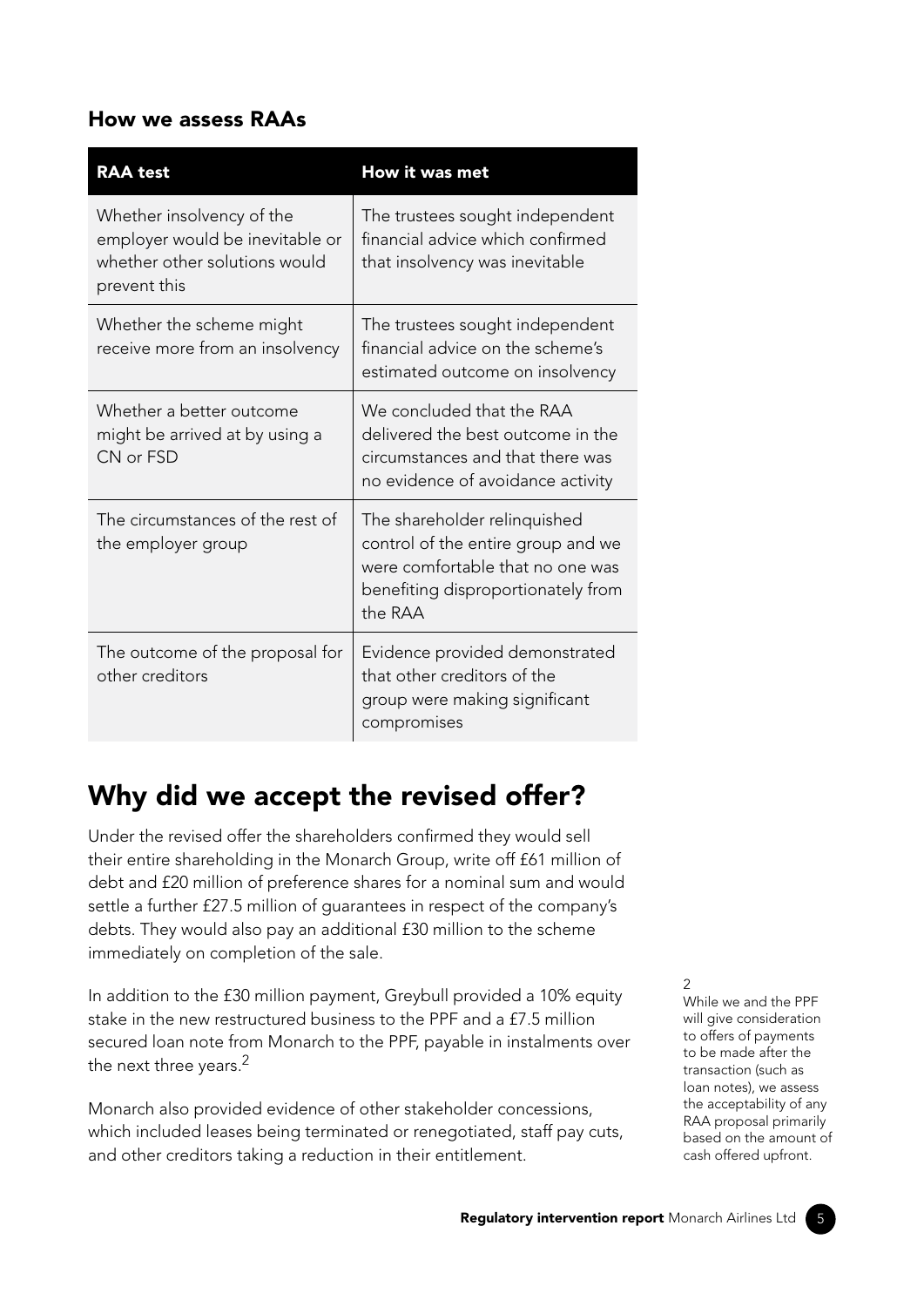### How we assess RAAs

| <b>RAA</b> test                                                                                               | How it was met                                                                                                                                          |
|---------------------------------------------------------------------------------------------------------------|---------------------------------------------------------------------------------------------------------------------------------------------------------|
| Whether insolvency of the<br>employer would be inevitable or<br>whether other solutions would<br>prevent this | The trustees sought independent<br>financial advice which confirmed<br>that insolvency was inevitable                                                   |
| Whether the scheme might<br>receive more from an insolvency                                                   | The trustees sought independent<br>financial advice on the scheme's<br>estimated outcome on insolvency                                                  |
| Whether a better outcome<br>might be arrived at by using a<br>CN or FSD                                       | We concluded that the RAA<br>delivered the best outcome in the<br>circumstances and that there was<br>no evidence of avoidance activity                 |
| The circumstances of the rest of<br>the employer group                                                        | The shareholder relinquished<br>control of the entire group and we<br>were comfortable that no one was<br>benefiting disproportionately from<br>the RAA |
| The outcome of the proposal for<br>other creditors                                                            | Evidence provided demonstrated<br>that other creditors of the<br>group were making significant<br>compromises                                           |

## Why did we accept the revised offer?

Under the revised offer the shareholders confirmed they would sell their entire shareholding in the Monarch Group, write off £61 million of debt and £20 million of preference shares for a nominal sum and would settle a further £27.5 million of guarantees in respect of the company's debts. They would also pay an additional £30 million to the scheme immediately on completion of the sale.

In addition to the £30 million payment, Greybull provided a 10% equity stake in the new restructured business to the PPF and a £7.5 million secured loan note from Monarch to the PPF, payable in instalments over the next three years.<sup>2</sup>

Monarch also provided evidence of other stakeholder concessions, which included leases being terminated or renegotiated, staff pay cuts, and other creditors taking a reduction in their entitlement.

2

While we and the PPF will give consideration to offers of payments to be made after the transaction (such as loan notes), we assess the acceptability of any RAA proposal primarily based on the amount of cash offered upfront.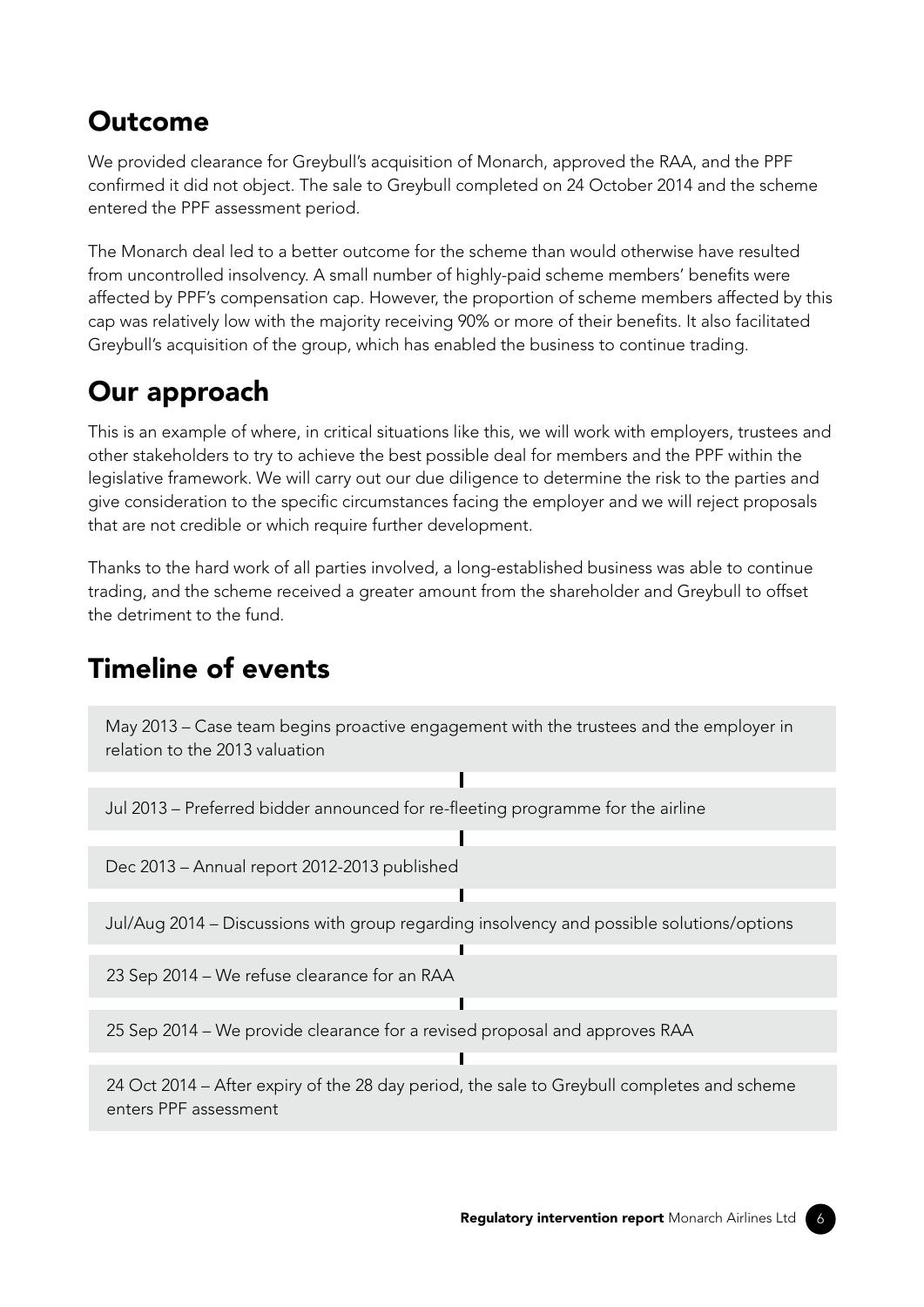## Outcome

We provided clearance for Greybull's acquisition of Monarch, approved the RAA, and the PPF confirmed it did not object. The sale to Greybull completed on 24 October 2014 and the scheme entered the PPF assessment period.

The Monarch deal led to a better outcome for the scheme than would otherwise have resulted from uncontrolled insolvency. A small number of highly-paid scheme members' benefits were affected by PPF's compensation cap. However, the proportion of scheme members affected by this cap was relatively low with the majority receiving 90% or more of their benefits. It also facilitated Greybull's acquisition of the group, which has enabled the business to continue trading.

## Our approach

This is an example of where, in critical situations like this, we will work with employers, trustees and other stakeholders to try to achieve the best possible deal for members and the PPF within the legislative framework. We will carry out our due diligence to determine the risk to the parties and give consideration to the specific circumstances facing the employer and we will reject proposals that are not credible or which require further development.

Thanks to the hard work of all parties involved, a long-established business was able to continue trading, and the scheme received a greater amount from the shareholder and Greybull to offset the detriment to the fund.

## Timeline of events

May 2013 – Case team begins proactive engagement with the trustees and the employer in relation to the 2013 valuation

Ī

Ι

Jul 2013 – Preferred bidder announced for re-fleeting programme for the airline

Dec 2013 – Annual report 2012-2013 published

Jul/Aug 2014 – Discussions with group regarding insolvency and possible solutions/options

23 Sep 2014 – We refuse clearance for an RAA

25 Sep 2014 – We provide clearance for a revised proposal and approves RAA

24 Oct 2014 – After expiry of the 28 day period, the sale to Greybull completes and scheme enters PPF assessment